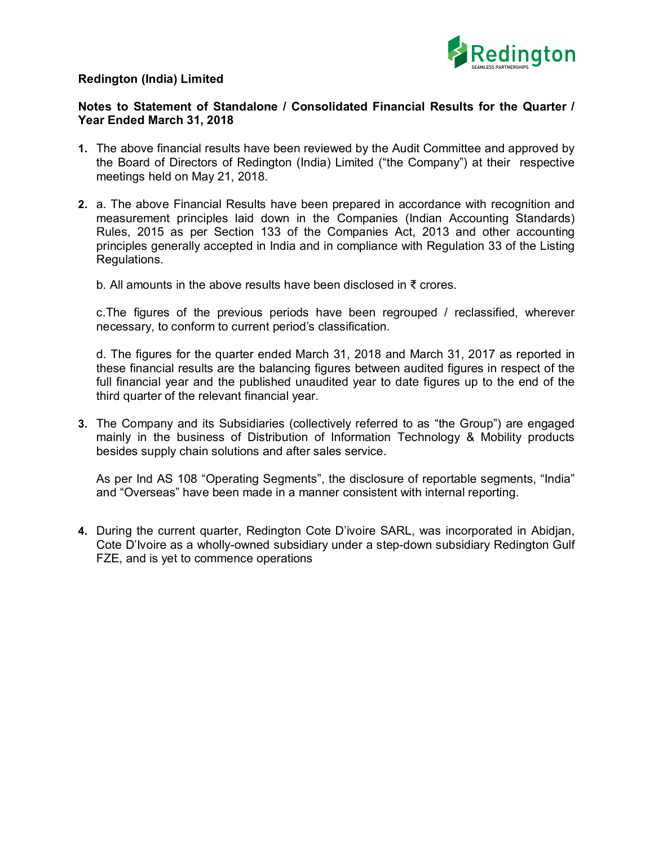## **Redington (India) Limited**



## **Notes to Statement of Standalone / Consolidated Financial Results for the Quarter / Year Ended March 31, 2018**

- **1.** The above financial results have been reviewed by the Audit Committee and approved by the Board of Directors of Redington (India) Limited ("the Company") at their respective meetings held on May 21, 2018.
- **2.** a. The above Financial Results have been prepared in accordance with recognition and measurement principles laid down in the Companies (Indian Accounting Standards) Rules, 2015 as per Section 133 of the Companies Act, 2013 and other accounting principles generally accepted in India and in compliance with Regulation 33 of the Listing Regulations.
	- b. All amounts in the above results have been disclosed in ₹ crores.

c.The figures of the previous periods have been regrouped / reclassified, wherever necessary, to conform to current period's classification.

d. The figures for the quarter ended March 31, 2018 and March 31, 2017 as reported in these financial results are the balancing figures between audited figures in respect of the full financial year and the published unaudited year to date figures up to the end of the third quarter of the relevant financial year.

**3.** The Company and its Subsidiaries (collectively referred to as "the Group") are engaged mainly in the business of Distribution of Information Technology & Mobility products besides supply chain solutions and after sales service.

As per Ind AS 108 "Operating Segments", the disclosure of reportable segments, "India" and "Overseas" have been made in a manner consistent with internal reporting.

**4.** During the current quarter, Redington Cote D'ivoire SARL, was incorporated in Abidjan, Cote D'Ivoire as a wholly-owned subsidiary under a step-down subsidiary Redington Gulf FZE, and is yet to commence operations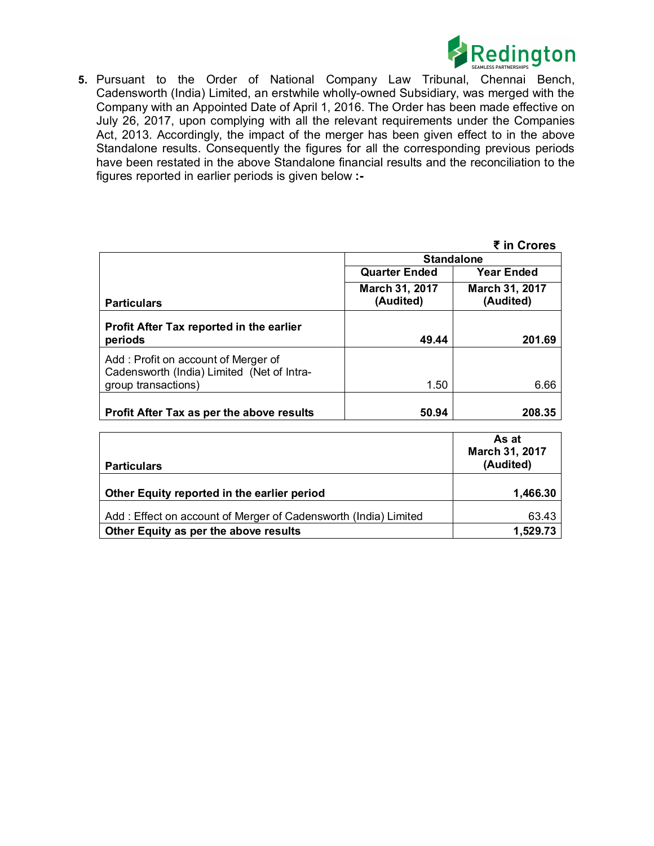

**5.** Pursuant to the Order of National Company Law Tribunal, Chennai Bench, Cadensworth (India) Limited, an erstwhile wholly-owned Subsidiary, was merged with the Company with an Appointed Date of April 1, 2016. The Order has been made effective on July 26, 2017, upon complying with all the relevant requirements under the Companies Act, 2013. Accordingly, the impact of the merger has been given effect to in the above Standalone results. Consequently the figures for all the corresponding previous periods have been restated in the above Standalone financial results and the reconciliation to the figures reported in earlier periods is given below **:-** 

| ₹ in Crores |  |
|-------------|--|
|-------------|--|

|                                                                                   |                             | ₹ in Crores                                      |  |
|-----------------------------------------------------------------------------------|-----------------------------|--------------------------------------------------|--|
|                                                                                   | <b>Standalone</b>           |                                                  |  |
|                                                                                   | <b>Quarter Ended</b>        | <b>Year Ended</b><br>March 31, 2017<br>(Audited) |  |
| <b>Particulars</b>                                                                | March 31, 2017<br>(Audited) |                                                  |  |
| Profit After Tax reported in the earlier<br>periods                               | 49.44                       | 201.69                                           |  |
| Add: Profit on account of Merger of<br>Cadensworth (India) Limited (Net of Intra- |                             |                                                  |  |
| group transactions)                                                               | 1.50                        | 6.66                                             |  |
| Profit After Tax as per the above results                                         | 50.94                       | 208.35                                           |  |

| <b>Particulars</b>                                              | As at<br>March 31, 2017<br>(Audited) |
|-----------------------------------------------------------------|--------------------------------------|
| Other Equity reported in the earlier period                     | 1,466.30                             |
| Add: Effect on account of Merger of Cadensworth (India) Limited | 63.43                                |
| Other Equity as per the above results                           | 1,529.73                             |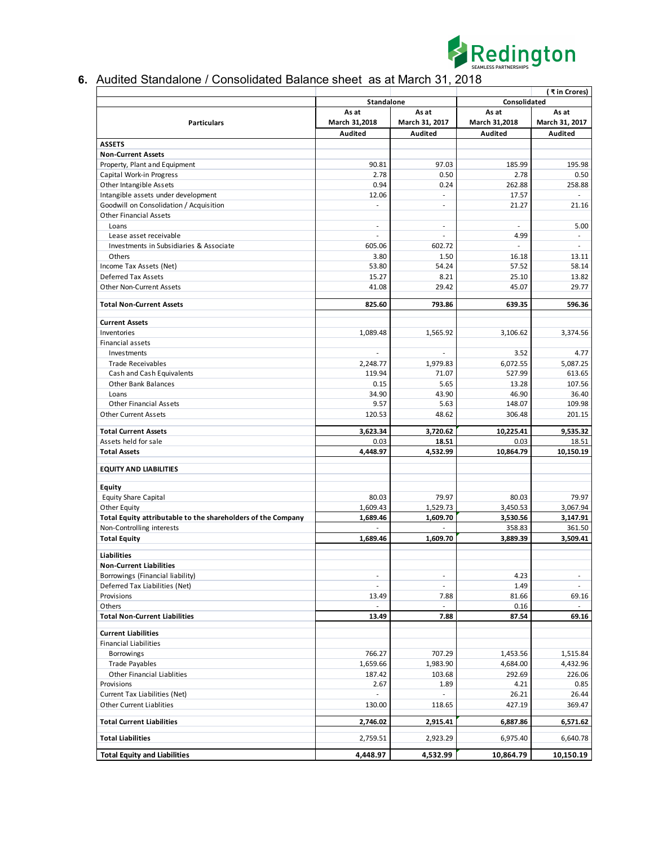

## **6.** Audited Standalone / Consolidated Balance sheet as at March 31, 2018

|                                                              |                          |                          |                | (₹in Crores)                |
|--------------------------------------------------------------|--------------------------|--------------------------|----------------|-----------------------------|
|                                                              | Standalone               |                          | Consolidated   |                             |
|                                                              | As at<br>As at           |                          | As at<br>As at |                             |
| <b>Particulars</b>                                           | March 31,2018            | March 31, 2017           | March 31,2018  | March 31, 2017              |
|                                                              | Audited                  | Audited                  | Audited        | Audited                     |
| <b>ASSETS</b>                                                |                          |                          |                |                             |
| <b>Non-Current Assets</b>                                    |                          |                          |                |                             |
| Property, Plant and Equipment                                | 90.81                    | 97.03                    | 185.99         | 195.98                      |
| Capital Work-in Progress                                     | 2.78                     | 0.50                     | 2.78           | 0.50                        |
| Other Intangible Assets                                      | 0.94                     | 0.24                     | 262.88         | 258.88                      |
| Intangible assets under development                          | 12.06                    | ÷.                       | 17.57          |                             |
| Goodwill on Consolidation / Acquisition                      |                          | ä,                       | 21.27          | 21.16                       |
| <b>Other Financial Assets</b>                                |                          |                          |                |                             |
| Loans                                                        | ä,                       | ä,                       |                | 5.00                        |
| Lease asset receivable                                       | ä,                       | L.                       | 4.99           | $\sim$                      |
| Investments in Subsidiaries & Associate                      | 605.06                   | 602.72                   | $\sim$         | $\mathcal{L}^{\mathcal{A}}$ |
| Others                                                       | 3.80                     | 1.50                     | 16.18          | 13.11                       |
| Income Tax Assets (Net)                                      | 53.80                    | 54.24                    | 57.52          | 58.14                       |
| Deferred Tax Assets                                          | 15.27                    | 8.21                     | 25.10          | 13.82                       |
| Other Non-Current Assets                                     | 41.08                    | 29.42                    | 45.07          | 29.77                       |
| <b>Total Non-Current Assets</b>                              | 825.60                   | 793.86                   | 639.35         | 596.36                      |
|                                                              |                          |                          |                |                             |
| <b>Current Assets</b>                                        |                          |                          |                |                             |
| Inventories                                                  | 1,089.48                 | 1,565.92                 | 3,106.62       | 3,374.56                    |
| Financial assets                                             |                          |                          |                |                             |
| Investments                                                  |                          |                          | 3.52           | 4.77                        |
| <b>Trade Receivables</b>                                     | 2,248.77                 | 1,979.83                 | 6,072.55       | 5,087.25                    |
| Cash and Cash Equivalents                                    | 119.94                   | 71.07                    | 527.99         | 613.65                      |
| <b>Other Bank Balances</b>                                   | 0.15                     | 5.65                     | 13.28          | 107.56                      |
| Loans                                                        | 34.90                    | 43.90                    | 46.90          | 36.40                       |
| <b>Other Financial Assets</b>                                | 9.57                     | 5.63                     | 148.07         | 109.98                      |
| <b>Other Current Assets</b>                                  | 120.53                   | 48.62                    | 306.48         | 201.15                      |
| <b>Total Current Assets</b>                                  | 3,623.34                 | 3,720.62                 | 10,225.41      | 9,535.32                    |
| Assets held for sale                                         | 0.03                     | 18.51                    | 0.03           | 18.51                       |
| <b>Total Assets</b>                                          | 4,448.97                 | 4,532.99                 | 10,864.79      | 10,150.19                   |
|                                                              |                          |                          |                |                             |
| <b>EQUITY AND LIABILITIES</b>                                |                          |                          |                |                             |
| Equity                                                       |                          |                          |                |                             |
| <b>Equity Share Capital</b>                                  | 80.03                    | 79.97                    | 80.03          | 79.97                       |
| Other Equity                                                 | 1,609.43                 | 1,529.73                 | 3,450.53       | 3,067.94                    |
| Total Equity attributable to the shareholders of the Company | 1,689.46                 | 1,609.70                 | 3,530.56       | 3,147.91                    |
| Non-Controlling interests                                    |                          |                          | 358.83         | 361.50                      |
| <b>Total Equity</b>                                          | 1,689.46                 | 1,609.70                 | 3,889.39       | 3,509.41                    |
|                                                              |                          |                          |                |                             |
| <b>Liabilities</b>                                           |                          |                          |                |                             |
| <b>Non-Current Liabilities</b>                               |                          |                          |                |                             |
| Borrowings (Financial liability)                             | $\overline{\phantom{m}}$ | $\overline{\phantom{a}}$ | 4.23           | $\sim$                      |
| Deferred Tax Liabilities (Net)                               | $\overline{\phantom{a}}$ | ÷                        | 1.49           | $\sim$                      |
| Provisions                                                   | 13.49                    | 7.88                     | 81.66          | 69.16                       |
| Others                                                       |                          |                          | 0.16           |                             |
| <b>Total Non-Current Liabilities</b>                         | 13.49                    | 7.88                     | 87.54          | 69.16                       |
| <b>Current Liabilities</b>                                   |                          |                          |                |                             |
| <b>Financial Liabilities</b>                                 |                          |                          |                |                             |
| Borrowings                                                   | 766.27                   | 707.29                   | 1,453.56       | 1,515.84                    |
| <b>Trade Payables</b>                                        | 1,659.66                 | 1,983.90                 | 4,684.00       | 4,432.96                    |
| Other Financial Liablities                                   | 187.42                   | 103.68                   | 292.69         | 226.06                      |
| Provisions                                                   | 2.67                     | 1.89                     | 4.21           | 0.85                        |
| Current Tax Liabilities (Net)                                | $\overline{\phantom{a}}$ | ٠                        | 26.21          | 26.44                       |
| <b>Other Current Liablities</b>                              | 130.00                   | 118.65                   | 427.19         | 369.47                      |
|                                                              |                          |                          |                |                             |
| <b>Total Current Liabilities</b>                             | 2,746.02                 | 2,915.41                 | 6,887.86       | 6,571.62                    |
| <b>Total Liabilities</b>                                     | 2,759.51                 | 2,923.29                 | 6,975.40       | 6,640.78                    |
|                                                              |                          |                          |                |                             |
| <b>Total Equity and Liabilities</b>                          | 4,448.97                 | 4,532.99                 | 10,864.79      | 10,150.19                   |